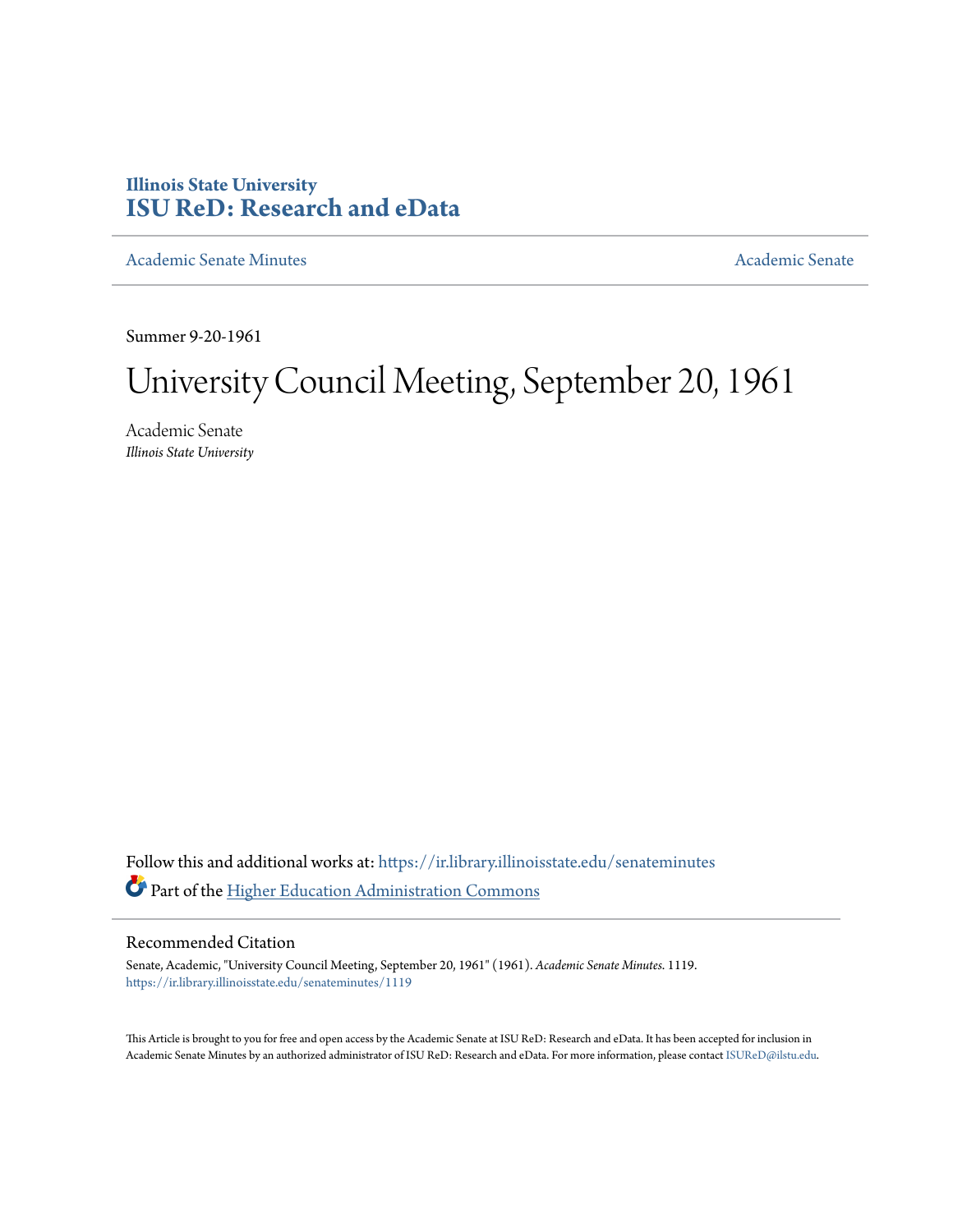# **Illinois State University [ISU ReD: Research and eData](https://ir.library.illinoisstate.edu?utm_source=ir.library.illinoisstate.edu%2Fsenateminutes%2F1119&utm_medium=PDF&utm_campaign=PDFCoverPages)**

[Academic Senate Minutes](https://ir.library.illinoisstate.edu/senateminutes?utm_source=ir.library.illinoisstate.edu%2Fsenateminutes%2F1119&utm_medium=PDF&utm_campaign=PDFCoverPages) [Academic Senate](https://ir.library.illinoisstate.edu/senate?utm_source=ir.library.illinoisstate.edu%2Fsenateminutes%2F1119&utm_medium=PDF&utm_campaign=PDFCoverPages) Academic Senate

Summer 9-20-1961

# University Council Meeting, September 20, 1961

Academic Senate *Illinois State University*

Follow this and additional works at: [https://ir.library.illinoisstate.edu/senateminutes](https://ir.library.illinoisstate.edu/senateminutes?utm_source=ir.library.illinoisstate.edu%2Fsenateminutes%2F1119&utm_medium=PDF&utm_campaign=PDFCoverPages) Part of the [Higher Education Administration Commons](http://network.bepress.com/hgg/discipline/791?utm_source=ir.library.illinoisstate.edu%2Fsenateminutes%2F1119&utm_medium=PDF&utm_campaign=PDFCoverPages)

# Recommended Citation

Senate, Academic, "University Council Meeting, September 20, 1961" (1961). *Academic Senate Minutes*. 1119. [https://ir.library.illinoisstate.edu/senateminutes/1119](https://ir.library.illinoisstate.edu/senateminutes/1119?utm_source=ir.library.illinoisstate.edu%2Fsenateminutes%2F1119&utm_medium=PDF&utm_campaign=PDFCoverPages)

This Article is brought to you for free and open access by the Academic Senate at ISU ReD: Research and eData. It has been accepted for inclusion in Academic Senate Minutes by an authorized administrator of ISU ReD: Research and eData. For more information, please contact [ISUReD@ilstu.edu.](mailto:ISUReD@ilstu.edu)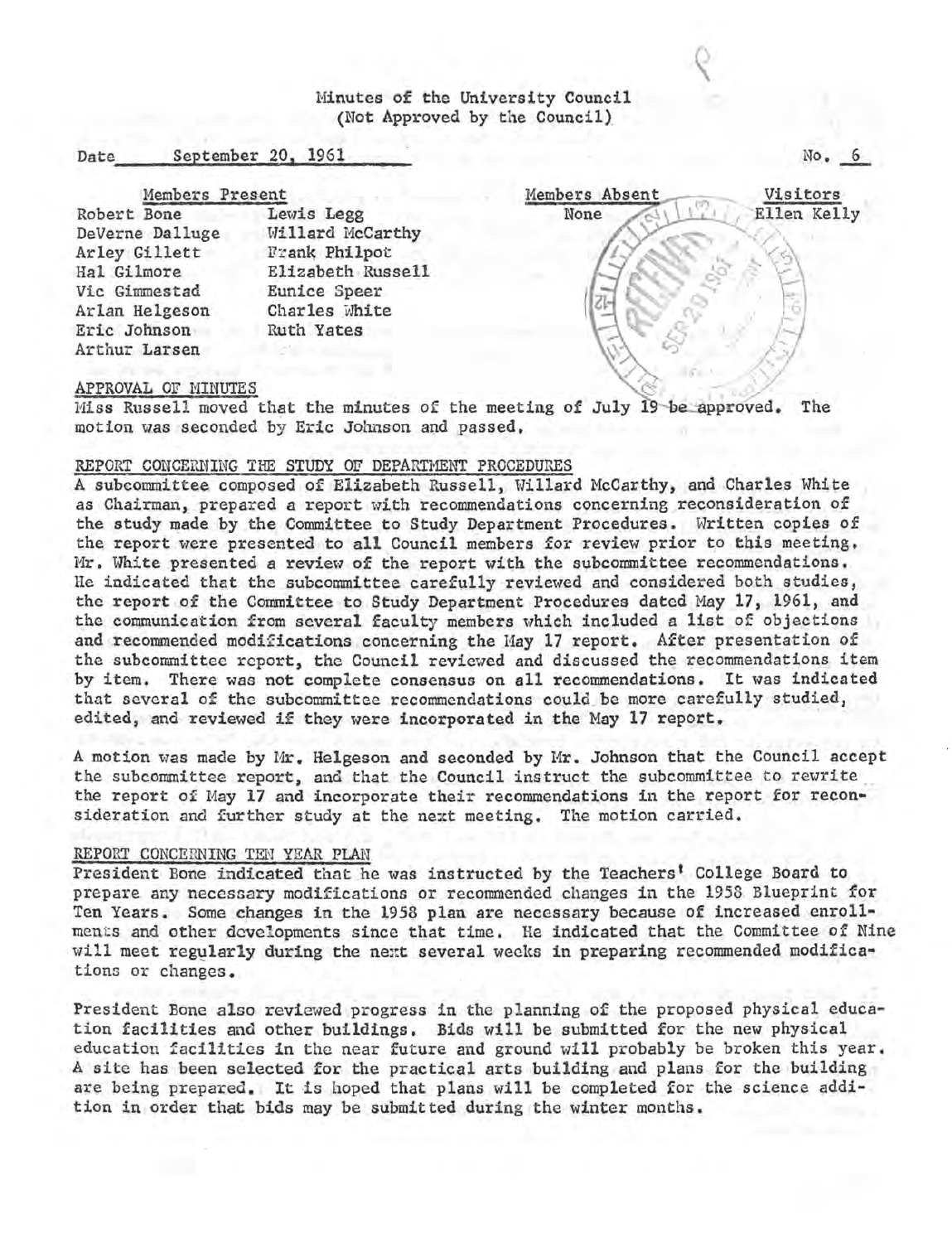Minutes of the University Council (Not Approved by the Council)

### Date September 20, 1961

Members Present

Robert Bone Lewis Legg DeVerne Dalluge Willard McCarthy Arley Gillett - Frank Philpot<br>Hal Gilmore - Elizabeth Russ Elizabeth Russell Vic Gimmestad Eunice Speer Arlan Helgeson Charles White Eric Johnson Ruth Yates Arthur Larsen



No.\_§\_

# APPROVAL OF MINUTES

Miss Russell moved that the minutes of the meeting of July 19 be approved. motion was seconded by Eric Johnson and passed. The

# REPORT CONCERNING THE STUDY OF DEPARTMENT PROCEDURES

A subcommittee composed of Elizabeth Russell, Willard McCarthy, and Charles White as Chairman, prepared a report with recommendations concerning reconsideration of the study made by the Committee to Study Department Procedures. Written copies of the report were presented to all Council members for review prior to this meeting. Mr. White presented a review of the report with the subcommittee recommendations. He indicated that the subcommittee carefully reviewed and considered both studies, the report of the Committee to Study Department Procedures dated May 17, 1961, and the communication from several faculty members which included a list of objections and recommended modifications concerning the Hay 17 report. After presentation of the subcommittee report, the Council reviewed and discussed the recommendations item by item. There was not complete consensus on all recommendations. It was indicated that several of the subcommittee recommendations could be more carefully studied, edited, and reviewed if they were incorporated in the May **17** report. ·

A motion was made by Mr. Helgeson and seconded by Mr. Johnson that the Council accept the subcommittee report, and that the Council instruct the subcommittee to rewrite the report of May 17 and incorporate their recommendations in the report for reconsideration and further study at the next meeting. The motion carried.

# REPORT CONCERNING TEN YEAR PLAN

President Bone indicated that he was instructed by the Teachers' College Board to prepare any necessary modifications or recommended changes in the 1958 Blueprint for Ten Years. Some changes in the 1958 plan are necessary because of increased enrollments and other developments since that time. He indicated that the Committee of Nine will meet regularly during the next several weeks in preparing recommended modifications or changes.

President Bone also reviewed progress in the planning of the proposed physical education facilities and other buildings. Bids will be submitted for the new physical education facilities in the near future and ground will probably be broken this year. A site has been selected for the practical arts building and plans for the building are being prepared. It is hoped that plans will be completed for the science addition in order that bids may be submitted during the winter months.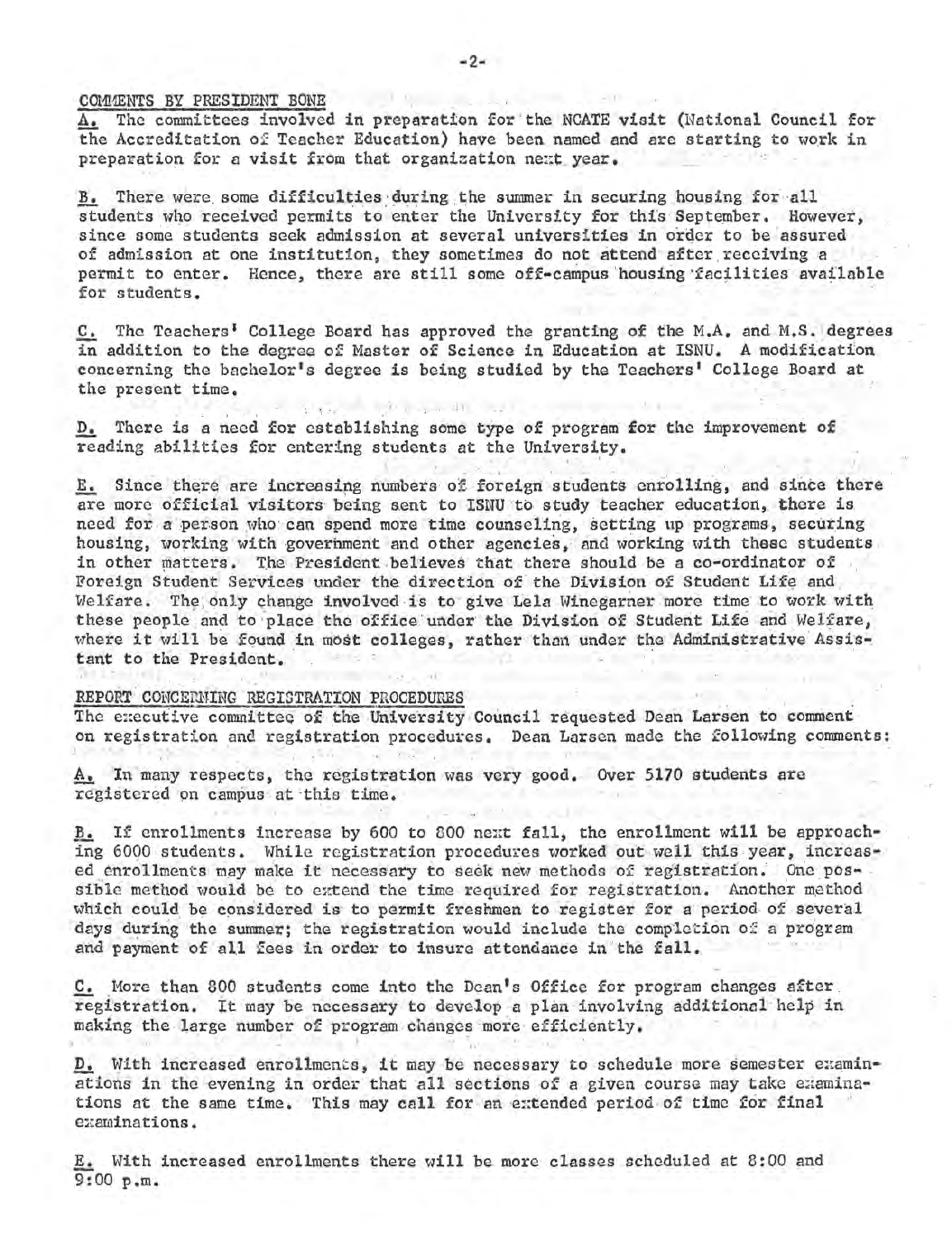# COMMENTS BY PRESIDENT BONE

A. The committees involved in preparation for the NCATE visit (National Council for the Accreditation of Teacher Education) have been named and are starting to work in preparation for a visit from that organization next year.

B. There were some difficulties during the summer in securing housing for all students who received permits to enter the University for this September. However, since some students seek admission at several universities in order to be assured of admission at one institution, they sometimes do not attend after receiving a permit to enter. Hence, there are still some off-campus housing facilities available for students.

C. The Teachers' College Board has approved the granting of the M.A. and M.S. degrees in addition to the degree of Master of Science in Education at ISNU. A modification concerning the bachelor's degree is being studied by the Teachers' College Board at the present time.

D. There is a need for establishing some type of program for the improvement of reading abilities for entering students at the University.

 $-11$ 

E. Since there are increasing numbers of foreign students enrolling, and since there are more official visitors being sent to ISNU to study teacher education, there is need for a person who can spend more time counseling, setting up programs, securing housing, working with government and other agencies, and working with these students in other matters. The President believes that there should be a co-ordinator of Foreign Student Services under the direction of the Division of Student Life and Welfare. The only change involved is to give Lela Winegarner more time to work with these people and to place the office under the Division of Student Life and Welfare, where it will be found in most colleges, rather than under the Administrative Assistant to the President.

#### REPORT CONCERNING REGISTRATION PROCEDURES

The executive committee of the University Council requested Dean Larsen to comment on registration and registration procedures. Dean Larsen made the following comments:

A. In many respects, the registration was very good. Over 5170 students are registered on campus at this time.

B. If enrollments increase by 600 to 800 next fall, the enrollment will be approaching 6000 students. While registration procedures worked out well this year, increased enrollments may make it necessary to seek new methods of registration. One possible method would be to extend the time required for registration. Another method which could be considered is to permit freshmen to register for a period of several days during the summer; the registration would include the completion of a program and payment of all fees in order to insure attendance in the fall.

C. More than 800 students come into the Dean's Office for program changes after registration. It may be necessary to develop a plan involving additional help in making the large number of program changes more efficiently.

D. With increased enrollments, it may be necessary to schedule more semester examinations in the evening in order that all sections of a given course may take examinations at the same time. This may call for an extended period of time for final examinations.

E. With increased enrollments there will be more classes scheduled at 8:00 and  $9:00 p.m.$